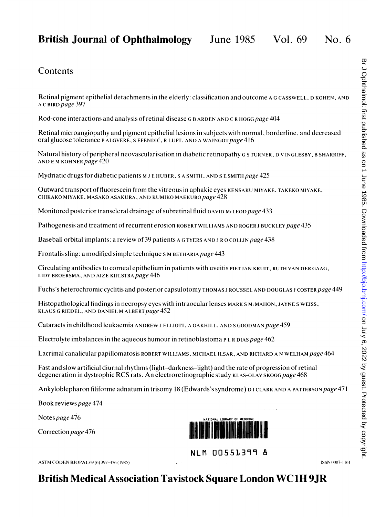# British Journal of Ophthalmology June 1985 Vol. 69 No. 6

### **Contents**

Retinal pigment epithelial detachments in the elderly: classification and outcome A G CASSWELI, D KOHEN, AND A C BIRD page 397

Rod-cone interactions and analysis of retinal disease G B ARDEN AND C R HOGG page 404

Retinal microangiopathy and pigment epithelial lesions in subjects with normal, borderline, and decreased oral glucose tolerance P ALGVERE, S EFENDIĆ, R LUFT, AND A WAJNGOT page 416

Natural history of peripheral neovascularisation in diabetic retinopathy G S TURNER, D V INGLESBY, B SHARRIFF, AND EM KOHNER page  $420$ 

Mydriatic drugs for diabetic patients M J E HUBER, S A SMITH, AND S E SMITH page 425

Outward transport of fluorescein from the vitreous in aphakic eyes KENSAKU MIYAKE, TAKEKO MIYAKE, CHIKAKO MIYAKE, MASAKO ASAKURA, AND KUMIKO MAEKUBO page 428

Monitored posterior transcleral drainage of subretinal fluid DAVID McLEOD page 433

Pathogenesis and treatment of recurrent erosion ROBERT WILLIAMS AND ROGER J BUCKLEY page 435

Baseball orbital implants: a review of 39 patients A G TYERS AND <sup>J</sup> R 0 COLLIN page 438

Frontalis sling: a modified simple technique S M BETHARIA page 443

Circulating antibodies to corneal epithelium in patients with uveitis PIET JAN KRUIT, RUTH VAN DFR GAAG, LIDY BROERSMA, AND AIZE KIJLSTRA page 446

Fuchs's heterochromic cyclitis and posterior capsulotomy THOMAS J ROUSSEL AND DOUGLAS J COSTER page 449

Histopathological findings in necropsy eyes with intraocular lenses MARK S MCMAHON, JAYNE S WEISS, KLAUS G RIEDEL, AND DANIEL M ALBERT page 452

Cataracts in childhood leukaemia ANDREW J ELLIOTT, A OAKHILL, AND S GOODMAN page 459

Electrolyte imbalances in the aqueous humour in retinoblastoma <sup>P</sup> L R DIAS page 462

Lacrimal canalicular papillomatosis ROBERT WILLIAMS, MICHAEL ILSAR, AND RICHARD A N WELHAM page 464

Fast and slow artificial diurnal rhythms (light-darkness-light) and the rate of progression of retinal degeneration in dystrophic RCS rats. An electroretinographic study KLAS-OLAV SKOOG page 468

Ankyloblepharon filiforme adnatum in trisomy 18 (Edwards's syndrome) DI CLARK AND A PATTERSON page 471

Book reviews page 474

Notes page 476

Correction page 476



NLM 00551399 <sup>8</sup>

ASTM CODEN BJOPAL 69 (6) 397-476 (1985) **ISSN 0007-1161** 1986 **ISSN 0007-1161**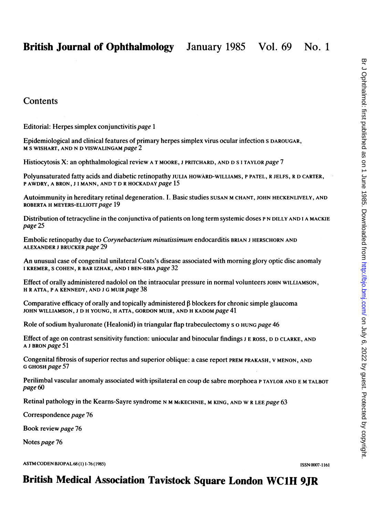Editorial: Herpes simplex conjunctivitis page <sup>1</sup>

Epidemiological and clinical features of primary herpes simplex virus ocular infection <sup>S</sup> DAROUGAR, M S WISHART, AND N D VISWALINGAM page 2

Histiocytosis X: an ophthalmological review A T MOORE, J PRITCHARD, AND D S I TAYLOR page 7

Polyunsaturated fatty acids and diabetic retinopathy JULIA HOWARD-WILLIAMS, P PATEL, R JELFS, R D CARTER, P AWDRY, A BRON, J I MANN, AND T D R HOCKADAY page 15

Autoimmunity in hereditary retinal degeneration. I. Basic studies SUSAN M CHANT, JOHN HECKENLIVELY, AND ROBERTA H MEYERS-ELLIOTT page 19

Distribution of tetracycline in the conjunctiva of patients on long term systemic doses P N DILLY AND I A MACKIE page 25

Embolic retinopathy due to Corynebacterium minutissimum endocarditis BRIAN <sup>J</sup> HERSCHORN AND ALEXANDER <sup>J</sup> BRUCKER page 29

An unusual case of congenital unilateral Coats's disease associated with morning glory optic disc anomaly <sup>I</sup> KREMER, <sup>S</sup> COHEN, R BAR IZHAK, AND <sup>I</sup> BEN-SIRA page 32

Effect of orally administered nadolol on the intraocular pressure in normal volunteers JOHN WILLIAMSON, H <sup>R</sup> ATFA, <sup>P</sup> A KENNEDY, AND <sup>J</sup> G MUIR page 38

Comparative efficacy of orally and topically administered  $\beta$  blockers for chronic simple glaucoma JOHN WILLIAMSON, J D H YOUNG, H ATTA, GORDON MUIR, AND H KADOM page 41

Role of sodium hyaluronate (Healonid) in triangular flap trabeculectomy s o HUNG page 46

Effect of age on contrast sensitivity function: uniocular and binocular findings J E ROSS, D D CLARKE, AND A <sup>J</sup> BRON page 51

Congenital fibrosis of superior rectus and superior oblique: a case report PREM PRAKASH, V MENON, AND G GHOSH page 57

Perilimbal vascular anomaly associated with ipsilateral en coup de sabre morphoea P TAYLOR AND E M TALBOT page 60

Retinal pathology in the Kearns-Sayre syndrome N M McKECHNIE, M KING, AND W R LEE page 63

Correspondence page 76

Book review page 76

Notes page 76

ASTM CODEN BJOPAL 68 (1) 1-76 (1985) **ISSN 0007-1161** ISSN 0007-1161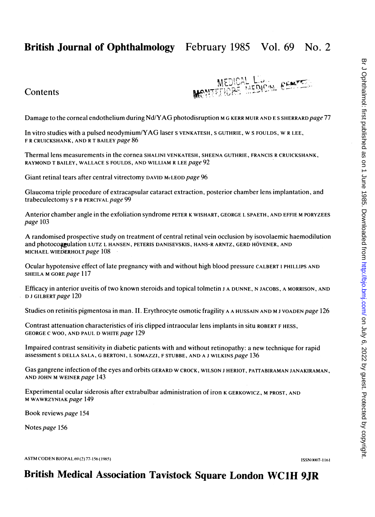# British Journal of Ophthalmology February 1985 Vol. 69 No. 2



Damage to the corneal endothelium during Nd/YAG photodisruption M G KERR MUIR AND ES SHERRARD page 77

In vitro studies with <sup>a</sup> pulsed neodymium/YAG laser <sup>s</sup> VENKATESH, <sup>S</sup> GUTHRIE, W <sup>S</sup> FOULDS, W <sup>R</sup> LEE, F R CRUICKSHANK, AND R T BAILEY page 86

Thermal lens measurements in the cornea SHALINI VENKATESH, SHEENA GUTHRIE, FRANCIS R CRUICKSHANK, RAYMOND T BAILEY, WALLACE S FOULDS, AND WILLIAM R LEE page 92

Giant retinal tears after central vitrectomy DAVID MeLEOD page 96

Glaucoma triple procedure of extracapsular cataract extraction, posterior chamber lens implantation, and trabeculectomy S P B PERCIVAL page 99

Anterior chamber angle in the exfoliation syndrome PETER K WISHART, GEORGE L SPAETH, AND EFFIE M PORYZEES page 103

A randomised prospective study on treatment of central retinal vein occlusion by isovolaemic haemodilution and photocoagulation LUTZ L HANSEN, PETERIS DANISEVSKIS, HANS-R ARNTZ, GERD HÖVENER, AND MICHAEL WIEDERHOLT page 108

Ocular hypotensive effect of late pregnancy with and without high blood pressure CALBERT <sup>I</sup> PHILLIPS AND SHEILA M GORE page 117

Efficacy in anterior uveitis of two known steroids and topical tolmetin <sup>J</sup> A DUNNE, N JACOBS, A MORRISON, AND D J GILBERT page 120

Studies on retinitis pigmentosa in man. II. Erythrocyte osmotic fragility A A HUSSAIN AND M J VOADEN page 126

Contrast attenuation characteristics of iris clipped intraocular lens implants in situ ROBERT F HESS, GEORGE C WOO, AND PAUL D WHITE page 129

Impaired contrast sensitivity in diabetic patients with and without retinopathy: a new technique for rapid assessment <sup>S</sup> DELLA SALA, G BERTONI, L SOMAZZI, <sup>F</sup> STUBBE, AND A <sup>J</sup> WILKINS page 136

Gas gangrene infection of the eyes and orbits GERARD W CROCK, WILSON J HERIOT, PATTABIRAMAN JANAKIRAMAN, AND JOHN M WEINER page 143

Experimental ocular siderosis after extrabulbar administration of iron K GERKOWICZ, M PROST, AND M WAWRZYNIAK page 149

Book reviews page 154

Notes page 156

ASTM CODEN BJOPAL 69 (2) 77-156 (1985) ISSN (KRS)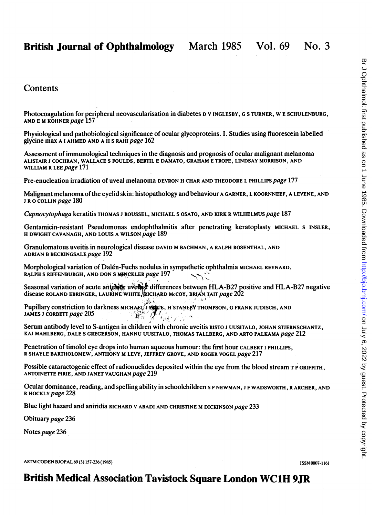Photocoagulation for peripheral neovascularisation in diabetes D <sup>V</sup> INGLESBY, G6 TURNER, W <sup>E</sup> SCHULENBURG, AND E M KOHNER page 157

Physiological and pathobiological significance of ocular glycoproteins. I. Studies using fluorescein labelled glycine max A <sup>I</sup> AHMED AND A H <sup>S</sup> RAHI page 162

Assessment of immunological techniques in the diagnosis and prognosis of ocular malignant melanoma ALISTAIR <sup>J</sup> COCHRAN, WALLACE <sup>S</sup> FOULDS, BERTIL E DAMATO, GRAHAM E TROPE, LINDSAY MORRISON, AND WILLIAM R LEE page 171

Pre-enucleation irradiation of uveal melanoma DEVRON H CHAR AND THEODORE L PHILLIPS page 177

Malignant melanoma of the eyelid skin: histopathology and behaviour A GARNER, L KOORNNEEF, A LEVENE, AND J R O COLLIN page 180

Capnocytophaga keratitis THOMAS <sup>J</sup> ROUSSEL, MICHAEL <sup>S</sup> OSATO, AND KIRK R WILHELMUS page 187

Gentamicin-resistant Pseudomonas endophthalmitis after penetrating keratoplasty MICHAEL S INSLER, H DWIGHT CAVANAGH, AND LOUIS A WILSON page 189

Granulomatous uveitis in neurological disease DAVID M BACHMAN, A RALPH ROSENTHAL, AND ADRIAN B BECKINGSALE page 192

Morphological variation of Dalen-Fuchs nodules in sympathetic ophthalmia MICHAEL REYNARD, RALPH S RIFFENBURGH, AND DON S MINCKLER page 197

Seasonal variation of acute anterest uver a differences between HLA-B27 positive and HLA-B27 negative disease ROLAND EBRINGER, LAURINE WHITE, RICHARD McCOY, BRIAN TAIT page 202

Pupillary constriction to darkness michael: I paice, h stanled thompson, g frank judisch, and SURFACE AND ESSINGER, LAURINE WHITE TRICHARD MCOT

Serum antibody level to S-antigen in children with chronic uveitis RISTO <sup>J</sup> UUSITALO, JOHAN STJERNSCHANTZ, KAJ MAHLBERG, DALE S GREGERSON, HANNU UUSITALO, THOMAS TALLBERG, AND ARTO PALKAMA page 212

Penetration of timolol eye drops into human aqueous humour: the first hour CALBERT <sup>I</sup> PHILLIPS, R SHAYLE BARTHOLOMEW, ANTHONY M LEVY, JEFFREY GROVE, AND ROGER VOGEL page 217

Possible cataractogenic effect of radionuclides deposited within the eye from the blood stream T P GRIFFITH, ANTOINETTE PIRIE, AND JANET VAUGHAN page 219

Ocular dominance, reading, and spelling ability in schoolchildren <sup>s</sup> P NEWMAN, <sup>J</sup> F WADSWORTH, R ARCHER, AND R HOCKLY page 228

Blue light hazard and aniridia RICHARD V ABADI AND CHRISTINE M DICKINSON page 233

Obituary page 236

Notes page 236

ASTM CODEN BJOPAL 69 (3) 157-236 (1985) **ISSN 0007-1161** ISSN 0007-1161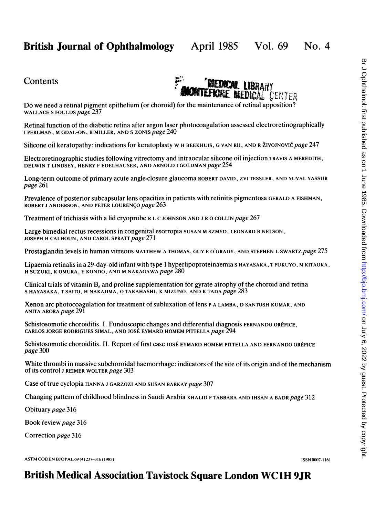

Do we need <sup>a</sup> retinal pigment epithelium (or choroid) for the maintenance of retinal apposition? WALLACE S FOULDS page 237

Retinal function of the diabetic retina after argon laser photocoagulation assessed electroretinographically I PERLMAN, M GDAL-ON, B MILLER, AND S ZONIS page 240

Silicone oil keratopathy: indications for keratoplasty W H BEEKHUIS, G VAN RIJ, AND R ŽIVOJNOVIĆ page 247

Electroretinographic studies following vitrectomy and intraocular silicone oil injection TRAVIS A MEREDITH, DELWIN T LINDSEY, HENRY <sup>F</sup> EDELHAUSER, AND ARNOLD <sup>I</sup> GOLDMAN page 254

Long-term outcome of primary acute angle-closure glaucoma ROBERT DAVID, ZVI TESSLER, AND YUVAL YASSUR page 261

Prevalence of posterior subcapsular lens opacities in patients with retinitis pigmentosa GERALD A FISHMAN, ROBERT J ANDERSON, AND PETER LOURENCO page 263

Treatment of trichiasis with a lid cryoprobe R L C JOHNSON AND <sup>J</sup> R 0 COLLIN page 267

Large bimedial rectus recessions in congenital esotropia SUSAN M SZMYD, LEONARD B NELSON, JOSEPH H CALHOUN, AND CAROL SPRATT page 271

Prostaglandin levels in human vitreous MATTHEW A THOMAS, GUY E O'GRADY, AND STEPHEN L SWARTZ page 275

Lipaemia retinalis in <sup>a</sup> 29-day-old infant with type <sup>1</sup> hyperlipoproteinaemia <sup>S</sup> HAYASAKA, <sup>T</sup> FUKUYO, M KITAOKA, H SUZUKI, K OMURA, Y KONDO, AND M NAKAGAWA page 280

Clinical trials of vitamin  $B<sub>s</sub>$  and proline supplementation for gyrate atrophy of the choroid and retina <sup>S</sup> HAYASAKA, <sup>T</sup> SAITO, H NAKAJIMA, 0 TAKAHASHI, K MIZUNO, AND K TADA page 283

Xenon arc photocoagulation for treatment of subluxation of lens <sup>P</sup> A LAMBA, D SANTOSH KUMAR, AND ANITA ARORA page 291

Schistosomotic choroiditis. I. Funduscopic changes and differential diagnosis FERNANDO ORtFICE, CARLOS JORGE RODRIGUES SIMAL, AND JOSÉ EYMARD HOMEM PITTELLA page 294

Schistosomotic choroiditis. II. Report of first case JOSÉ EYMARD HOMEM PITTELLA AND FERNANDO ORÉFICE page 300

White thrombi in massive subchoroidal haemorrhage: indicators of the site of its origin and of the mechanism of its control <sup>J</sup> REIMER WOLTER page 303

Case of true cyclopia HANNA <sup>J</sup> GARZOZI AND SUSAN BARKAY page 307

Changing pattern of childhood blindness in Saudi Arabia KHALID <sup>F</sup> TABBARA AND IHSAN A BADR page 312

Obituary page 316

Book review page 316

Correction page 316

ASTM CODEN BJOPAL 69 (4) 237-316 (1985) **ISSN (007-1161 ISSN (007-1161**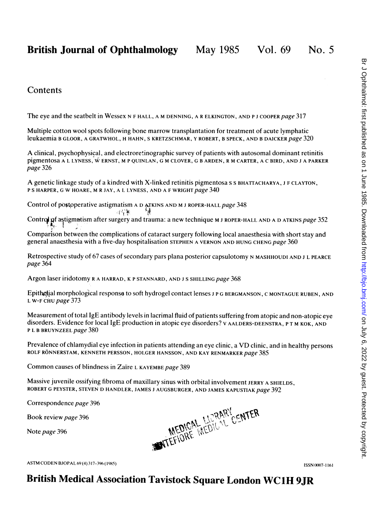The eye and the seatbelt in Wessex N F HALL, A M DENNING, A R ELKINGTON, AND PJ COOPER page 317

Multiple cotton wool spots following bone marrow transplantation for treatment of acute lymphatic leukaemia B GLOOR, A GRATWHOL, H HAHN, S KRETZSCHMAR, Y ROBERT, B SPECK, AND B DAICKER page 320

A clinical, psychophysical, and electroretinographic survey of patients with autosomal dominant retinitis pigmentosa <sup>A</sup> <sup>L</sup> LYNESS, W ERNST, M <sup>P</sup> QUINLAN, <sup>G</sup> M CLOVER, <sup>G</sup> <sup>B</sup> ARDEN, <sup>R</sup> M CARTER, <sup>A</sup> <sup>C</sup> BIRD, AND <sup>J</sup> <sup>A</sup> PARKER page 326

A genetic linkage study of <sup>a</sup> kindred with X-linked retinitis pigmentosa <sup>s</sup> <sup>S</sup> BHATTACHARYA, <sup>J</sup> <sup>F</sup> CLAYTON, P S HARPER, G W HOARE, M R JAY, A L LYNESS, AND A F WRIGHT page 340

Control of postoperative astigmatism A D ATKINS AND M J ROPER-HALL page 348 ા પંચ

Control of astigmatism after surgery and trauma: a new technique M J ROPER-HALL AND A D ATKINS page 352

Comparison between the complications of cataract surgery following local anaesthesia with short stay and general anaesthesia with a five-day hospitalization STEPHEN A VERNON AND HUNG CHENG page 360

Retrospective study of 67 cases of secondary pars plana posterior capsulotomy N MASHHOUDI AND J L PEARCE page 364

Argon laser iridotomy <sup>R</sup> A HARRAD, K <sup>P</sup> STANNARD, AND <sup>J</sup> <sup>S</sup> SHILLING page 368

Epithetial morphological response to soft hydrogel contact lenses J P G BERGMANSON, C MONTAGUE RUBEN, AND L W-F CHU page 373

Measurement of total IgE antibody levels in lacrimal fluid of patients suffering from atopic and non-atopic eye disorders. Evidence for local IgE production in atopic eye disorders? v AALDERS-DEENSTRA, <sup>P</sup> T M KOK, AND P L B BRUYNZEEL page 380

Prevalence of chlamydial eye infection in patients attending an eye clinic, <sup>a</sup> VD clinic, and in healthy persons ROLF RÖNNERSTAM, KENNETH PERSSON, HOLGER HANSSON, AND KAY RENMARKER page 385

Common causes of blindness in Zaire <sup>L</sup> KAYEMBE page 389

Massive juvenile ossifying fibroma of maxillary sinus with orbital involvement JERRY A SHIELDS, ROBERT G PEYSTER, STEVEN D HANDLER, JAMES <sup>J</sup> AUGSBURGER, AND JAMES KAPUSTIAK page 392

Correspondence page 396

Note page 396

Book review page 396<br>Note page 396 MEDICAL LURARY CENTER

ASTM CODEN BJOPAL 69 (4) 317-396 (1985) **ISSN 0007-1161** ISSN 0007-1161